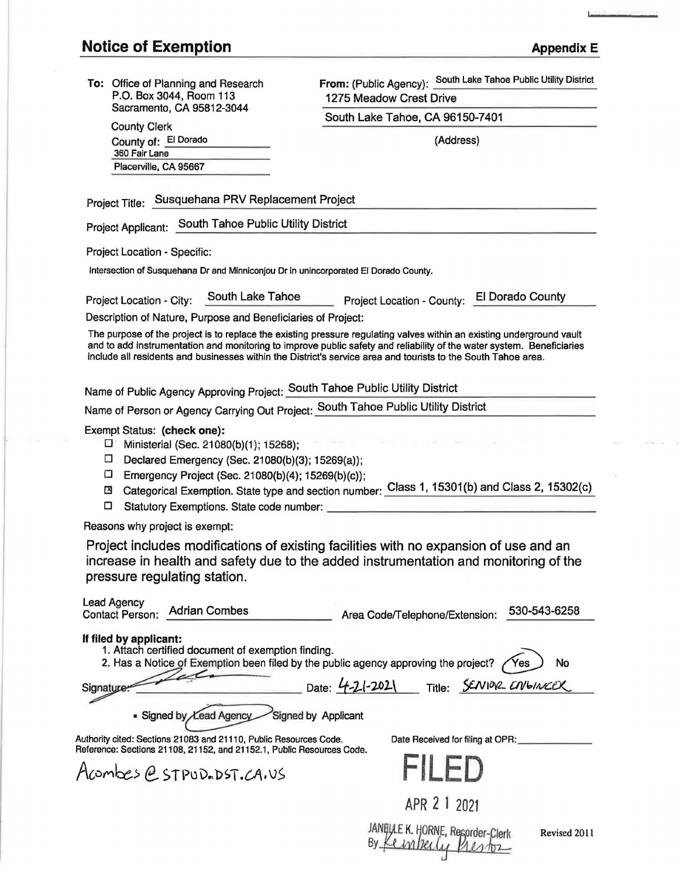County of: El Dorado

County Clerk

360 Fair Lane Placerville, CA 95667

**To:** Office of Planning and Research P.O. Box 3044, Room 113 Sacramento, CA 95812-3044

**From:** (Public Agency): South Lake Tahoe Public Utility District 1275 Meadow Crest Drive

South Lake Tahoe, CA 96150-7401

(Address)

Project Title: Susquehana PRV Replacement Project

Project Applicant: South Tahoe Public Utility District

Project Location - Specific:

Intersection of Susquehana Dr and Minniconjou Dr in unincorporated El Dorado County.

| Project Location - City: | South Lake Tahoe | Project Location - County: El Dorado County |  |
|--------------------------|------------------|---------------------------------------------|--|
|                          |                  |                                             |  |

Description of Nature, Purpose and Beneficiaries of Project:

The purpose of the project is to replace the existing pressure regulating valves within an existing underground vault and to add instrumentation and monitoring to improve public safety and reliability of the water system. Beneficiaries include all residents and businesses within the District's service area and tourists to the South Tahoe area.

Name of Public Agency Approving Project: South Tahoe Public Utility District

Name of Person or Agency Carrying Out Project: South Tahoe Public Utility District

Exempt Status: **(check one):** 

- $\square$  Ministerial (Sec. 21080(b)(1); 15268);
- Declared Emergency (Sec. 21080(b)(3); 15269(a));
- D Emergency Project (Sec. 21080(b}(4}; 15269(b)(c}};
- ~ Categorical Exemption. State type and section number: Class 1, 15301 (b) and Class 2, 15302(c) D Statutory Exemptions. State code number: \_\_\_\_\_\_\_\_\_\_\_ \_\_\_\_\_\_\_\_ \_
- 

Reasons why project is exempt:

Project includes modifications of existing facilities with no expansion of use and an increase in health and safety due to the added instrumentation and monitoring of the pressure regulating station.

| <b>Lead Agency</b><br><b>Contact Person:</b> | <b>Adrian Combes</b>                                                                                                                                                                                                      | Area Code/Telephone/Extension:            | 530-543-6258 |
|----------------------------------------------|---------------------------------------------------------------------------------------------------------------------------------------------------------------------------------------------------------------------------|-------------------------------------------|--------------|
| If filed by applicant:<br>Signature:         | 1. Attach certified document of exemption finding.<br>2. Has a Notice of Exemption been filed by the public agency approving the project?                                                                                 | Date: 4-21-2021 Title: SENIOR ENGINEER    | No           |
|                                              | • Signed by Eead Agency<br>Signed by Applicant<br>Authority cited: Sections 21083 and 21110, Public Resources Code.<br>Reference: Sections 21108, 21152, and 21152.1, Public Resources Code.<br>Acombes @ STPUD.DST.CA.US | Date Received for filing at OPR:<br>FILED |              |
|                                              |                                                                                                                                                                                                                           | APR 2 1 2021                              |              |
|                                              |                                                                                                                                                                                                                           | JANQULE K. HORNE, Resorder-Clerk          | Revised 2011 |